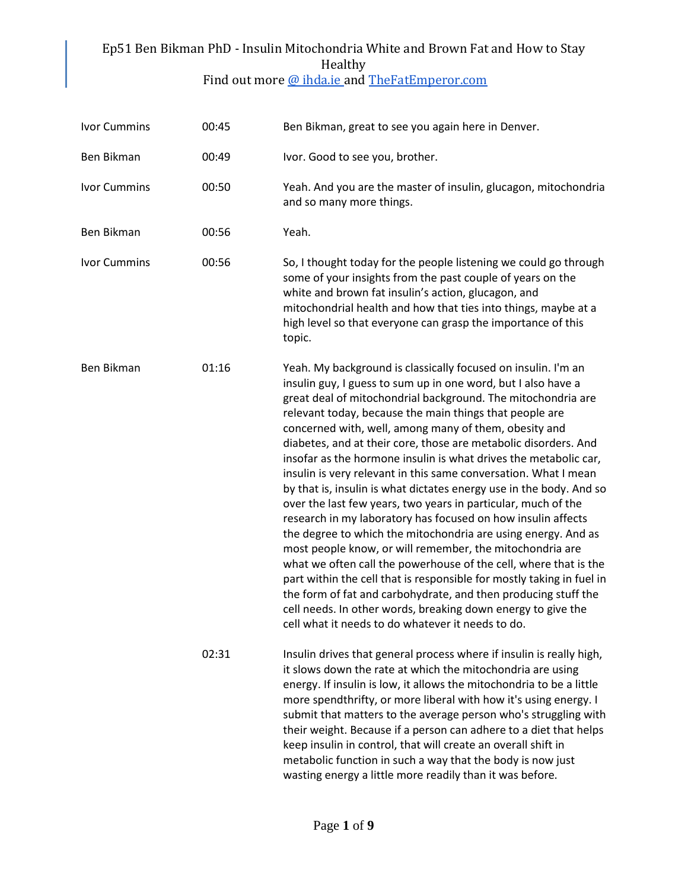#### Ep51 Ben Bikman PhD - Insulin Mitochondria White and Brown Fat and How to Stay Healthy Find out more [@ ihda.ie a](https://ihda.ie/)nd [TheFatEmperor.com](https://thefatemperor.com/)

| <b>Ivor Cummins</b> | 00:45 | Ben Bikman, great to see you again here in Denver.                                                                                                                                                                                                                                                                                                                                                                                                                                                                                                                                                                                                                                                                                                                                                                                                                                                                                                                                                                                                                                                                                                                                                    |
|---------------------|-------|-------------------------------------------------------------------------------------------------------------------------------------------------------------------------------------------------------------------------------------------------------------------------------------------------------------------------------------------------------------------------------------------------------------------------------------------------------------------------------------------------------------------------------------------------------------------------------------------------------------------------------------------------------------------------------------------------------------------------------------------------------------------------------------------------------------------------------------------------------------------------------------------------------------------------------------------------------------------------------------------------------------------------------------------------------------------------------------------------------------------------------------------------------------------------------------------------------|
| Ben Bikman          | 00:49 | Ivor. Good to see you, brother.                                                                                                                                                                                                                                                                                                                                                                                                                                                                                                                                                                                                                                                                                                                                                                                                                                                                                                                                                                                                                                                                                                                                                                       |
| <b>Ivor Cummins</b> | 00:50 | Yeah. And you are the master of insulin, glucagon, mitochondria<br>and so many more things.                                                                                                                                                                                                                                                                                                                                                                                                                                                                                                                                                                                                                                                                                                                                                                                                                                                                                                                                                                                                                                                                                                           |
| Ben Bikman          | 00:56 | Yeah.                                                                                                                                                                                                                                                                                                                                                                                                                                                                                                                                                                                                                                                                                                                                                                                                                                                                                                                                                                                                                                                                                                                                                                                                 |
| <b>Ivor Cummins</b> | 00:56 | So, I thought today for the people listening we could go through<br>some of your insights from the past couple of years on the<br>white and brown fat insulin's action, glucagon, and<br>mitochondrial health and how that ties into things, maybe at a<br>high level so that everyone can grasp the importance of this<br>topic.                                                                                                                                                                                                                                                                                                                                                                                                                                                                                                                                                                                                                                                                                                                                                                                                                                                                     |
| Ben Bikman          | 01:16 | Yeah. My background is classically focused on insulin. I'm an<br>insulin guy, I guess to sum up in one word, but I also have a<br>great deal of mitochondrial background. The mitochondria are<br>relevant today, because the main things that people are<br>concerned with, well, among many of them, obesity and<br>diabetes, and at their core, those are metabolic disorders. And<br>insofar as the hormone insulin is what drives the metabolic car,<br>insulin is very relevant in this same conversation. What I mean<br>by that is, insulin is what dictates energy use in the body. And so<br>over the last few years, two years in particular, much of the<br>research in my laboratory has focused on how insulin affects<br>the degree to which the mitochondria are using energy. And as<br>most people know, or will remember, the mitochondria are<br>what we often call the powerhouse of the cell, where that is the<br>part within the cell that is responsible for mostly taking in fuel in<br>the form of fat and carbohydrate, and then producing stuff the<br>cell needs. In other words, breaking down energy to give the<br>cell what it needs to do whatever it needs to do. |
|                     | 02:31 | Insulin drives that general process where if insulin is really high,<br>it slows down the rate at which the mitochondria are using<br>energy. If insulin is low, it allows the mitochondria to be a little<br>more spendthrifty, or more liberal with how it's using energy. I<br>submit that matters to the average person who's struggling with<br>their weight. Because if a person can adhere to a diet that helps<br>keep insulin in control, that will create an overall shift in<br>metabolic function in such a way that the body is now just<br>wasting energy a little more readily than it was before.                                                                                                                                                                                                                                                                                                                                                                                                                                                                                                                                                                                     |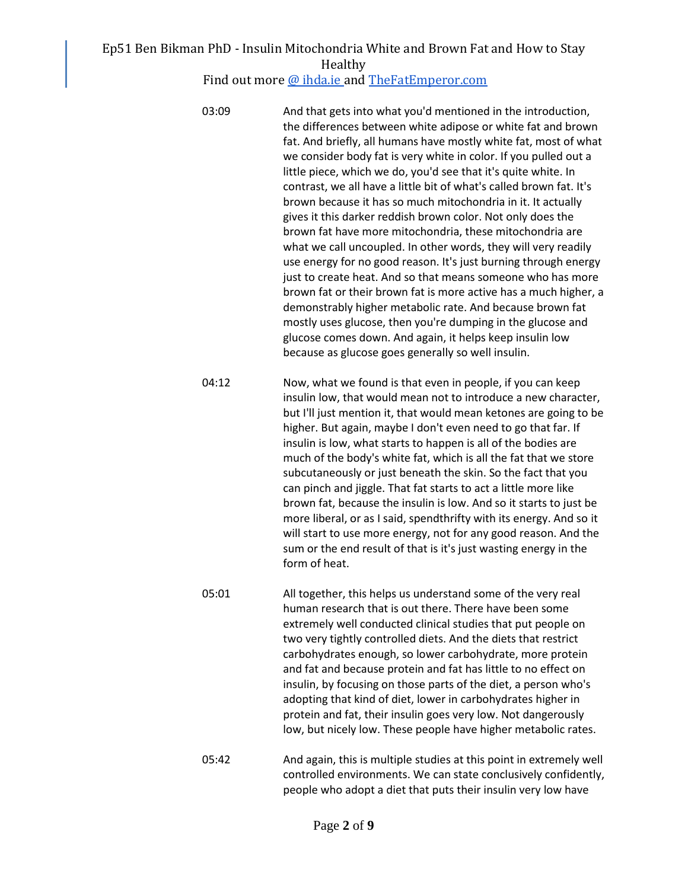Find out more [@ ihda.ie a](https://ihda.ie/)nd [TheFatEmperor.com](https://thefatemperor.com/)

- 03:09 And that gets into what you'd mentioned in the introduction, the differences between white adipose or white fat and brown fat. And briefly, all humans have mostly white fat, most of what we consider body fat is very white in color. If you pulled out a little piece, which we do, you'd see that it's quite white. In contrast, we all have a little bit of what's called brown fat. It's brown because it has so much mitochondria in it. It actually gives it this darker reddish brown color. Not only does the brown fat have more mitochondria, these mitochondria are what we call uncoupled. In other words, they will very readily use energy for no good reason. It's just burning through energy just to create heat. And so that means someone who has more brown fat or their brown fat is more active has a much higher, a demonstrably higher metabolic rate. And because brown fat mostly uses glucose, then you're dumping in the glucose and glucose comes down. And again, it helps keep insulin low because as glucose goes generally so well insulin.
- 04:12 Now, what we found is that even in people, if you can keep insulin low, that would mean not to introduce a new character, but I'll just mention it, that would mean ketones are going to be higher. But again, maybe I don't even need to go that far. If insulin is low, what starts to happen is all of the bodies are much of the body's white fat, which is all the fat that we store subcutaneously or just beneath the skin. So the fact that you can pinch and jiggle. That fat starts to act a little more like brown fat, because the insulin is low. And so it starts to just be more liberal, or as I said, spendthrifty with its energy. And so it will start to use more energy, not for any good reason. And the sum or the end result of that is it's just wasting energy in the form of heat.
- 05:01 All together, this helps us understand some of the very real human research that is out there. There have been some extremely well conducted clinical studies that put people on two very tightly controlled diets. And the diets that restrict carbohydrates enough, so lower carbohydrate, more protein and fat and because protein and fat has little to no effect on insulin, by focusing on those parts of the diet, a person who's adopting that kind of diet, lower in carbohydrates higher in protein and fat, their insulin goes very low. Not dangerously low, but nicely low. These people have higher metabolic rates.
- 05:42 And again, this is multiple studies at this point in extremely well controlled environments. We can state conclusively confidently, people who adopt a diet that puts their insulin very low have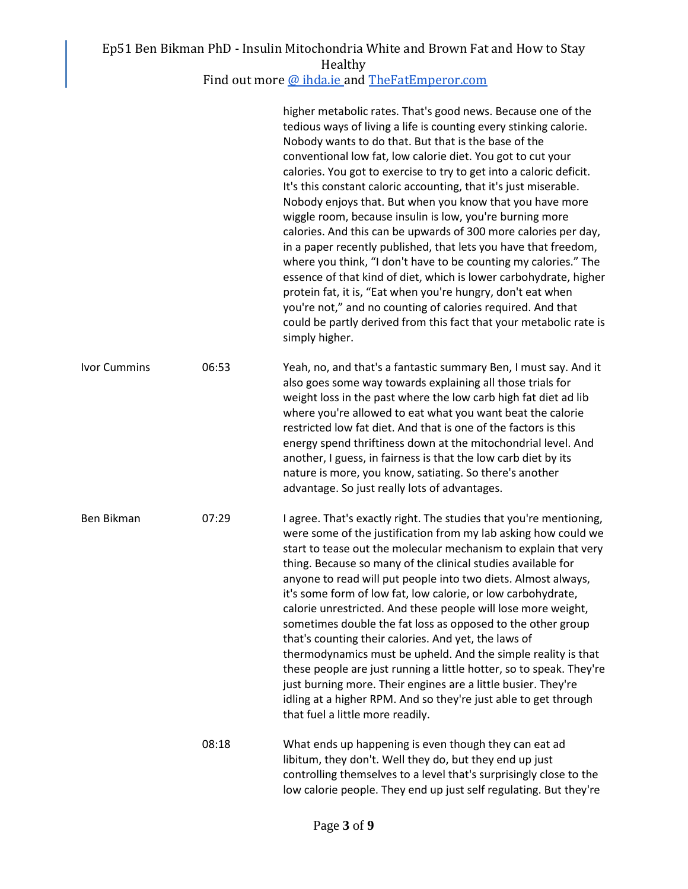Find out more [@ ihda.ie a](https://ihda.ie/)nd [TheFatEmperor.com](https://thefatemperor.com/)

|                     |       | higher metabolic rates. That's good news. Because one of the<br>tedious ways of living a life is counting every stinking calorie.<br>Nobody wants to do that. But that is the base of the<br>conventional low fat, low calorie diet. You got to cut your<br>calories. You got to exercise to try to get into a caloric deficit.<br>It's this constant caloric accounting, that it's just miserable.<br>Nobody enjoys that. But when you know that you have more<br>wiggle room, because insulin is low, you're burning more<br>calories. And this can be upwards of 300 more calories per day,<br>in a paper recently published, that lets you have that freedom,<br>where you think, "I don't have to be counting my calories." The<br>essence of that kind of diet, which is lower carbohydrate, higher<br>protein fat, it is, "Eat when you're hungry, don't eat when<br>you're not," and no counting of calories required. And that<br>could be partly derived from this fact that your metabolic rate is<br>simply higher. |
|---------------------|-------|---------------------------------------------------------------------------------------------------------------------------------------------------------------------------------------------------------------------------------------------------------------------------------------------------------------------------------------------------------------------------------------------------------------------------------------------------------------------------------------------------------------------------------------------------------------------------------------------------------------------------------------------------------------------------------------------------------------------------------------------------------------------------------------------------------------------------------------------------------------------------------------------------------------------------------------------------------------------------------------------------------------------------------|
| <b>Ivor Cummins</b> | 06:53 | Yeah, no, and that's a fantastic summary Ben, I must say. And it<br>also goes some way towards explaining all those trials for<br>weight loss in the past where the low carb high fat diet ad lib<br>where you're allowed to eat what you want beat the calorie<br>restricted low fat diet. And that is one of the factors is this<br>energy spend thriftiness down at the mitochondrial level. And<br>another, I guess, in fairness is that the low carb diet by its<br>nature is more, you know, satiating. So there's another<br>advantage. So just really lots of advantages.                                                                                                                                                                                                                                                                                                                                                                                                                                               |
| Ben Bikman          | 07:29 | I agree. That's exactly right. The studies that you're mentioning,<br>were some of the justification from my lab asking how could we<br>start to tease out the molecular mechanism to explain that very<br>thing. Because so many of the clinical studies available for<br>anyone to read will put people into two diets. Almost always,<br>it's some form of low fat, low calorie, or low carbohydrate,<br>calorie unrestricted. And these people will lose more weight,<br>sometimes double the fat loss as opposed to the other group<br>that's counting their calories. And yet, the laws of<br>thermodynamics must be upheld. And the simple reality is that<br>these people are just running a little hotter, so to speak. They're<br>just burning more. Their engines are a little busier. They're<br>idling at a higher RPM. And so they're just able to get through<br>that fuel a little more readily.                                                                                                                |
|                     | 08:18 | What ends up happening is even though they can eat ad<br>libitum, they don't. Well they do, but they end up just<br>controlling themselves to a level that's surprisingly close to the<br>low calorie people. They end up just self regulating. But they're                                                                                                                                                                                                                                                                                                                                                                                                                                                                                                                                                                                                                                                                                                                                                                     |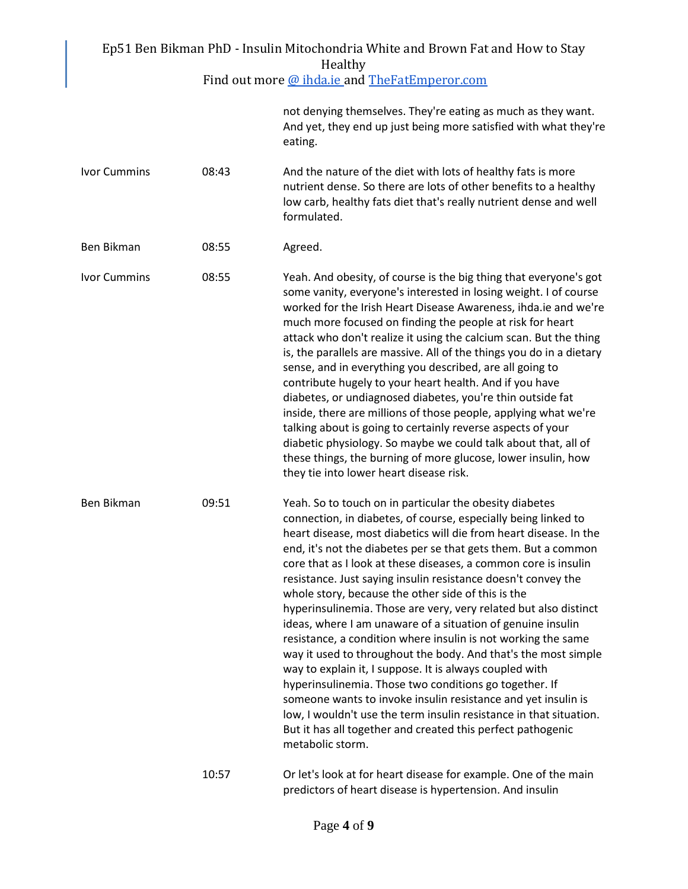|                     |       | Ep51 Ben Bikman PhD - Insulin Mitochondria White and Brown Fat and How to Stay<br>Healthy                                                                                                                                                                                                                                                                                                                                                                                                                                                                                                                                                                                                                                                                                                                                                                                                                                                                                                                                                                                       |
|---------------------|-------|---------------------------------------------------------------------------------------------------------------------------------------------------------------------------------------------------------------------------------------------------------------------------------------------------------------------------------------------------------------------------------------------------------------------------------------------------------------------------------------------------------------------------------------------------------------------------------------------------------------------------------------------------------------------------------------------------------------------------------------------------------------------------------------------------------------------------------------------------------------------------------------------------------------------------------------------------------------------------------------------------------------------------------------------------------------------------------|
|                     |       | Find out more @ ihda.ie and TheFatEmperor.com                                                                                                                                                                                                                                                                                                                                                                                                                                                                                                                                                                                                                                                                                                                                                                                                                                                                                                                                                                                                                                   |
|                     |       | not denying themselves. They're eating as much as they want.<br>And yet, they end up just being more satisfied with what they're<br>eating.                                                                                                                                                                                                                                                                                                                                                                                                                                                                                                                                                                                                                                                                                                                                                                                                                                                                                                                                     |
| <b>Ivor Cummins</b> | 08:43 | And the nature of the diet with lots of healthy fats is more<br>nutrient dense. So there are lots of other benefits to a healthy<br>low carb, healthy fats diet that's really nutrient dense and well<br>formulated.                                                                                                                                                                                                                                                                                                                                                                                                                                                                                                                                                                                                                                                                                                                                                                                                                                                            |
| Ben Bikman          | 08:55 | Agreed.                                                                                                                                                                                                                                                                                                                                                                                                                                                                                                                                                                                                                                                                                                                                                                                                                                                                                                                                                                                                                                                                         |
| <b>Ivor Cummins</b> | 08:55 | Yeah. And obesity, of course is the big thing that everyone's got<br>some vanity, everyone's interested in losing weight. I of course<br>worked for the Irish Heart Disease Awareness, ihda.ie and we're<br>much more focused on finding the people at risk for heart<br>attack who don't realize it using the calcium scan. But the thing<br>is, the parallels are massive. All of the things you do in a dietary<br>sense, and in everything you described, are all going to<br>contribute hugely to your heart health. And if you have<br>diabetes, or undiagnosed diabetes, you're thin outside fat<br>inside, there are millions of those people, applying what we're<br>talking about is going to certainly reverse aspects of your<br>diabetic physiology. So maybe we could talk about that, all of<br>these things, the burning of more glucose, lower insulin, how<br>they tie into lower heart disease risk.                                                                                                                                                         |
| Ben Bikman          | 09:51 | Yeah. So to touch on in particular the obesity diabetes<br>connection, in diabetes, of course, especially being linked to<br>heart disease, most diabetics will die from heart disease. In the<br>end, it's not the diabetes per se that gets them. But a common<br>core that as I look at these diseases, a common core is insulin<br>resistance. Just saying insulin resistance doesn't convey the<br>whole story, because the other side of this is the<br>hyperinsulinemia. Those are very, very related but also distinct<br>ideas, where I am unaware of a situation of genuine insulin<br>resistance, a condition where insulin is not working the same<br>way it used to throughout the body. And that's the most simple<br>way to explain it, I suppose. It is always coupled with<br>hyperinsulinemia. Those two conditions go together. If<br>someone wants to invoke insulin resistance and yet insulin is<br>low, I wouldn't use the term insulin resistance in that situation.<br>But it has all together and created this perfect pathogenic<br>metabolic storm. |
|                     | 10:57 | Or let's look at for heart disease for example. One of the main<br>predictors of heart disease is hypertension. And insulin                                                                                                                                                                                                                                                                                                                                                                                                                                                                                                                                                                                                                                                                                                                                                                                                                                                                                                                                                     |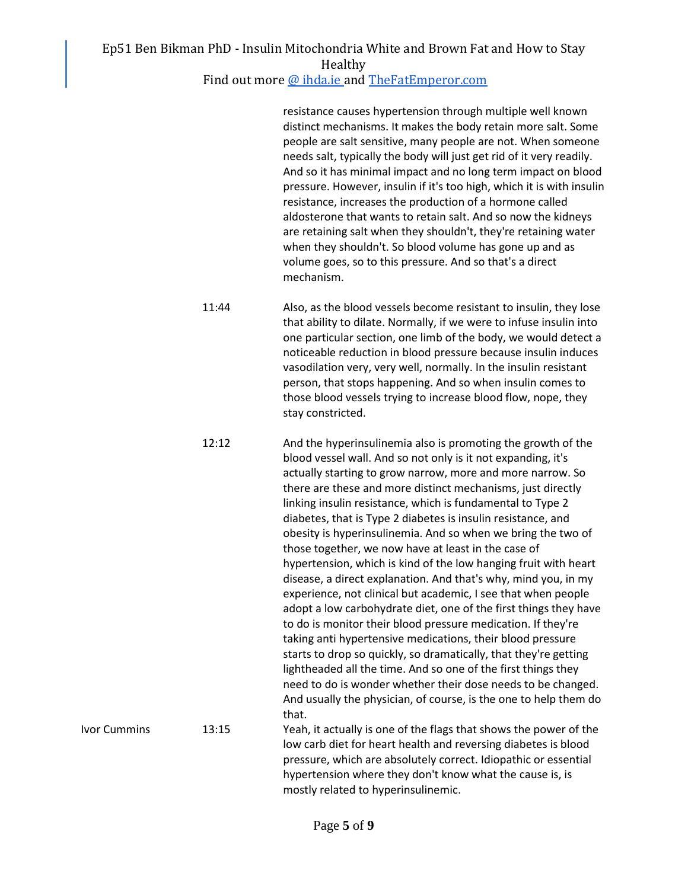Find out more [@ ihda.ie a](https://ihda.ie/)nd [TheFatEmperor.com](https://thefatemperor.com/)

resistance causes hypertension through multiple well known distinct mechanisms. It makes the body retain more salt. Some people are salt sensitive, many people are not. When someone needs salt, typically the body will just get rid of it very readily. And so it has minimal impact and no long term impact on blood pressure. However, insulin if it's too high, which it is with insulin resistance, increases the production of a hormone called aldosterone that wants to retain salt. And so now the kidneys are retaining salt when they shouldn't, they're retaining water when they shouldn't. So blood volume has gone up and as volume goes, so to this pressure. And so that's a direct mechanism.

- 11:44 Also, as the blood vessels become resistant to insulin, they lose that ability to dilate. Normally, if we were to infuse insulin into one particular section, one limb of the body, we would detect a noticeable reduction in blood pressure because insulin induces vasodilation very, very well, normally. In the insulin resistant person, that stops happening. And so when insulin comes to those blood vessels trying to increase blood flow, nope, they stay constricted.
- 12:12 And the hyperinsulinemia also is promoting the growth of the blood vessel wall. And so not only is it not expanding, it's actually starting to grow narrow, more and more narrow. So there are these and more distinct mechanisms, just directly linking insulin resistance, which is fundamental to Type 2 diabetes, that is Type 2 diabetes is insulin resistance, and obesity is hyperinsulinemia. And so when we bring the two of those together, we now have at least in the case of hypertension, which is kind of the low hanging fruit with heart disease, a direct explanation. And that's why, mind you, in my experience, not clinical but academic, I see that when people adopt a low carbohydrate diet, one of the first things they have to do is monitor their blood pressure medication. If they're taking anti hypertensive medications, their blood pressure starts to drop so quickly, so dramatically, that they're getting lightheaded all the time. And so one of the first things they need to do is wonder whether their dose needs to be changed. And usually the physician, of course, is the one to help them do that. Ivor Cummins 13:15 Yeah, it actually is one of the flags that shows the power of the low carb diet for heart health and reversing diabetes is blood pressure, which are absolutely correct. Idiopathic or essential

hypertension where they don't know what the cause is, is

mostly related to hyperinsulinemic.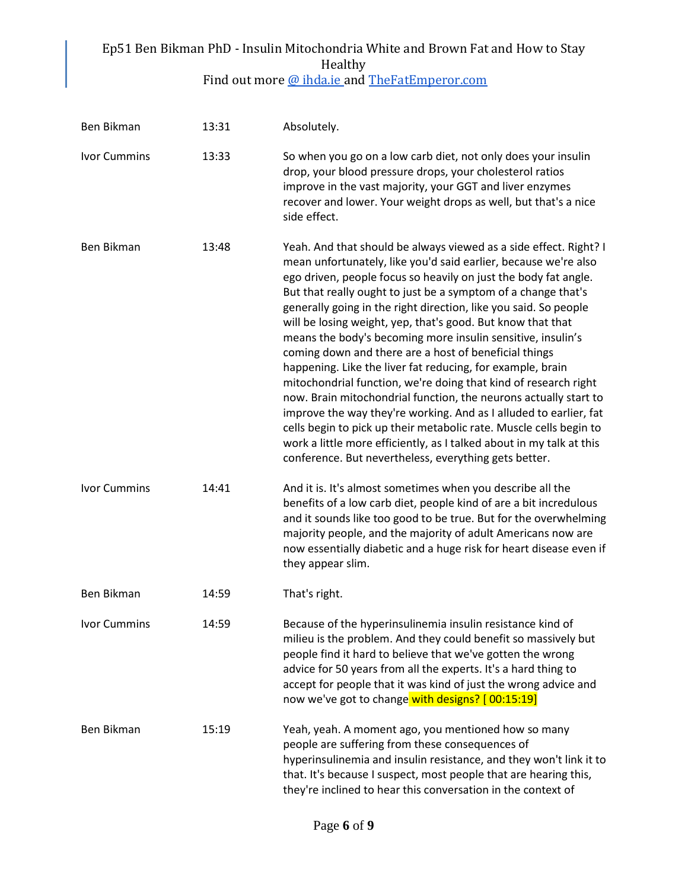| Find out more @ ihda.ie and TheFatEmperor.com |
|-----------------------------------------------|
|-----------------------------------------------|

| Ben Bikman          | 13:31 | Absolutely.                                                                                                                                                                                                                                                                                                                                                                                                                                                                                                                                                                                                                                                                                                                                                                                                                                                                                                                                                                                                          |
|---------------------|-------|----------------------------------------------------------------------------------------------------------------------------------------------------------------------------------------------------------------------------------------------------------------------------------------------------------------------------------------------------------------------------------------------------------------------------------------------------------------------------------------------------------------------------------------------------------------------------------------------------------------------------------------------------------------------------------------------------------------------------------------------------------------------------------------------------------------------------------------------------------------------------------------------------------------------------------------------------------------------------------------------------------------------|
| Ivor Cummins        | 13:33 | So when you go on a low carb diet, not only does your insulin<br>drop, your blood pressure drops, your cholesterol ratios<br>improve in the vast majority, your GGT and liver enzymes<br>recover and lower. Your weight drops as well, but that's a nice<br>side effect.                                                                                                                                                                                                                                                                                                                                                                                                                                                                                                                                                                                                                                                                                                                                             |
| Ben Bikman          | 13:48 | Yeah. And that should be always viewed as a side effect. Right? I<br>mean unfortunately, like you'd said earlier, because we're also<br>ego driven, people focus so heavily on just the body fat angle.<br>But that really ought to just be a symptom of a change that's<br>generally going in the right direction, like you said. So people<br>will be losing weight, yep, that's good. But know that that<br>means the body's becoming more insulin sensitive, insulin's<br>coming down and there are a host of beneficial things<br>happening. Like the liver fat reducing, for example, brain<br>mitochondrial function, we're doing that kind of research right<br>now. Brain mitochondrial function, the neurons actually start to<br>improve the way they're working. And as I alluded to earlier, fat<br>cells begin to pick up their metabolic rate. Muscle cells begin to<br>work a little more efficiently, as I talked about in my talk at this<br>conference. But nevertheless, everything gets better. |
| <b>Ivor Cummins</b> | 14:41 | And it is. It's almost sometimes when you describe all the<br>benefits of a low carb diet, people kind of are a bit incredulous<br>and it sounds like too good to be true. But for the overwhelming<br>majority people, and the majority of adult Americans now are<br>now essentially diabetic and a huge risk for heart disease even if<br>they appear slim.                                                                                                                                                                                                                                                                                                                                                                                                                                                                                                                                                                                                                                                       |
| Ben Bikman          | 14:59 | That's right.                                                                                                                                                                                                                                                                                                                                                                                                                                                                                                                                                                                                                                                                                                                                                                                                                                                                                                                                                                                                        |
| Ivor Cummins        | 14:59 | Because of the hyperinsulinemia insulin resistance kind of<br>milieu is the problem. And they could benefit so massively but<br>people find it hard to believe that we've gotten the wrong<br>advice for 50 years from all the experts. It's a hard thing to<br>accept for people that it was kind of just the wrong advice and<br>now we've got to change with designs? [00:15:19]                                                                                                                                                                                                                                                                                                                                                                                                                                                                                                                                                                                                                                  |
| Ben Bikman          | 15:19 | Yeah, yeah. A moment ago, you mentioned how so many<br>people are suffering from these consequences of<br>hyperinsulinemia and insulin resistance, and they won't link it to<br>that. It's because I suspect, most people that are hearing this,<br>they're inclined to hear this conversation in the context of                                                                                                                                                                                                                                                                                                                                                                                                                                                                                                                                                                                                                                                                                                     |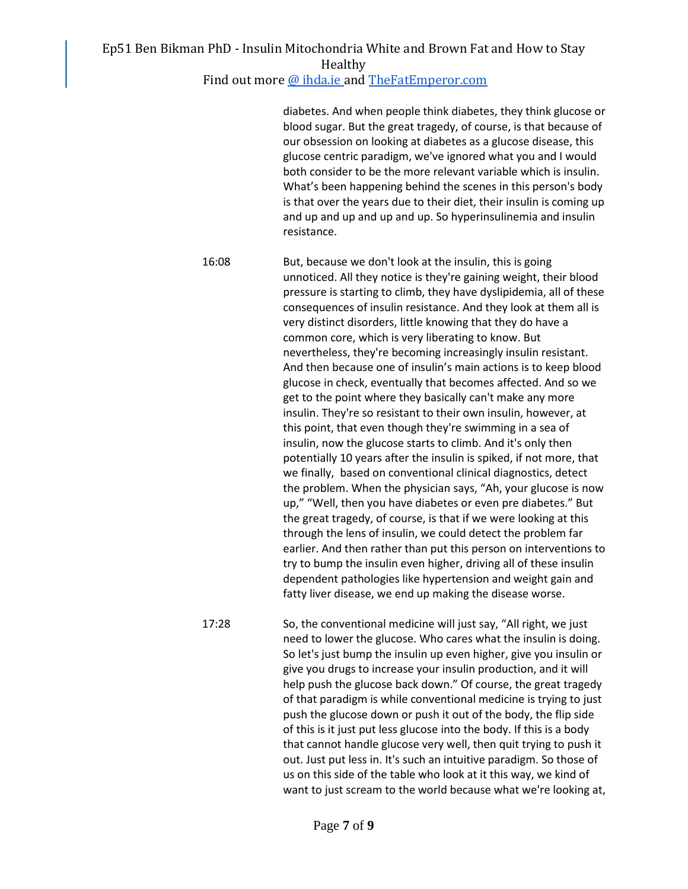Find out more [@ ihda.ie a](https://ihda.ie/)nd [TheFatEmperor.com](https://thefatemperor.com/)

diabetes. And when people think diabetes, they think glucose or blood sugar. But the great tragedy, of course, is that because of our obsession on looking at diabetes as a glucose disease, this glucose centric paradigm, we've ignored what you and I would both consider to be the more relevant variable which is insulin. What's been happening behind the scenes in this person's body is that over the years due to their diet, their insulin is coming up and up and up and up and up. So hyperinsulinemia and insulin resistance.

16:08 But, because we don't look at the insulin, this is going unnoticed. All they notice is they're gaining weight, their blood pressure is starting to climb, they have dyslipidemia, all of these consequences of insulin resistance. And they look at them all is very distinct disorders, little knowing that they do have a common core, which is very liberating to know. But nevertheless, they're becoming increasingly insulin resistant. And then because one of insulin's main actions is to keep blood glucose in check, eventually that becomes affected. And so we get to the point where they basically can't make any more insulin. They're so resistant to their own insulin, however, at this point, that even though they're swimming in a sea of insulin, now the glucose starts to climb. And it's only then potentially 10 years after the insulin is spiked, if not more, that we finally, based on conventional clinical diagnostics, detect the problem. When the physician says, "Ah, your glucose is now up," "Well, then you have diabetes or even pre diabetes." But the great tragedy, of course, is that if we were looking at this through the lens of insulin, we could detect the problem far earlier. And then rather than put this person on interventions to try to bump the insulin even higher, driving all of these insulin dependent pathologies like hypertension and weight gain and fatty liver disease, we end up making the disease worse.

17:28 So, the conventional medicine will just say, "All right, we just need to lower the glucose. Who cares what the insulin is doing. So let's just bump the insulin up even higher, give you insulin or give you drugs to increase your insulin production, and it will help push the glucose back down." Of course, the great tragedy of that paradigm is while conventional medicine is trying to just push the glucose down or push it out of the body, the flip side of this is it just put less glucose into the body. If this is a body that cannot handle glucose very well, then quit trying to push it out. Just put less in. It's such an intuitive paradigm. So those of us on this side of the table who look at it this way, we kind of want to just scream to the world because what we're looking at,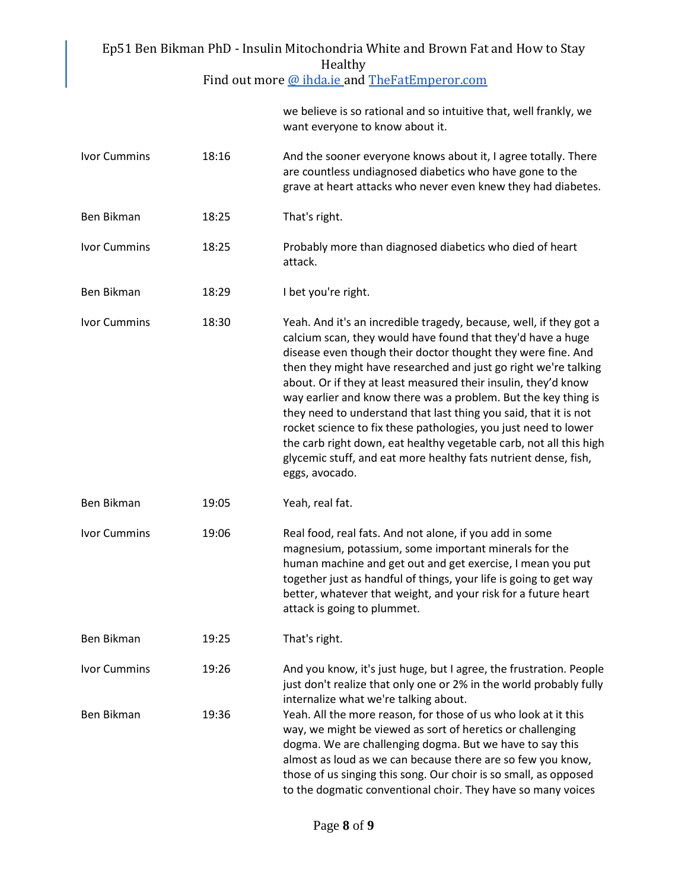| Ep51 Ben Bikman PhD - Insulin Mitochondria White and Brown Fat and How to Stay<br>Healthy |       |                                                                                                                                                                                                                                                                                                                                                                                                                                                                                                                                                                                                                                                                                                            |  |
|-------------------------------------------------------------------------------------------|-------|------------------------------------------------------------------------------------------------------------------------------------------------------------------------------------------------------------------------------------------------------------------------------------------------------------------------------------------------------------------------------------------------------------------------------------------------------------------------------------------------------------------------------------------------------------------------------------------------------------------------------------------------------------------------------------------------------------|--|
|                                                                                           |       | Find out more @ ihda.ie and TheFatEmperor.com                                                                                                                                                                                                                                                                                                                                                                                                                                                                                                                                                                                                                                                              |  |
|                                                                                           |       | we believe is so rational and so intuitive that, well frankly, we<br>want everyone to know about it.                                                                                                                                                                                                                                                                                                                                                                                                                                                                                                                                                                                                       |  |
| <b>Ivor Cummins</b>                                                                       | 18:16 | And the sooner everyone knows about it, I agree totally. There<br>are countless undiagnosed diabetics who have gone to the<br>grave at heart attacks who never even knew they had diabetes.                                                                                                                                                                                                                                                                                                                                                                                                                                                                                                                |  |
| Ben Bikman                                                                                | 18:25 | That's right.                                                                                                                                                                                                                                                                                                                                                                                                                                                                                                                                                                                                                                                                                              |  |
| <b>Ivor Cummins</b>                                                                       | 18:25 | Probably more than diagnosed diabetics who died of heart<br>attack.                                                                                                                                                                                                                                                                                                                                                                                                                                                                                                                                                                                                                                        |  |
| <b>Ben Bikman</b>                                                                         | 18:29 | I bet you're right.                                                                                                                                                                                                                                                                                                                                                                                                                                                                                                                                                                                                                                                                                        |  |
| <b>Ivor Cummins</b>                                                                       | 18:30 | Yeah. And it's an incredible tragedy, because, well, if they got a<br>calcium scan, they would have found that they'd have a huge<br>disease even though their doctor thought they were fine. And<br>then they might have researched and just go right we're talking<br>about. Or if they at least measured their insulin, they'd know<br>way earlier and know there was a problem. But the key thing is<br>they need to understand that last thing you said, that it is not<br>rocket science to fix these pathologies, you just need to lower<br>the carb right down, eat healthy vegetable carb, not all this high<br>glycemic stuff, and eat more healthy fats nutrient dense, fish,<br>eggs, avocado. |  |
| <b>Ben Bikman</b>                                                                         | 19:05 | Yeah, real fat.                                                                                                                                                                                                                                                                                                                                                                                                                                                                                                                                                                                                                                                                                            |  |
| <b>Ivor Cummins</b>                                                                       | 19:06 | Real food, real fats. And not alone, if you add in some<br>magnesium, potassium, some important minerals for the<br>human machine and get out and get exercise, I mean you put<br>together just as handful of things, your life is going to get way<br>better, whatever that weight, and your risk for a future heart<br>attack is going to plummet.                                                                                                                                                                                                                                                                                                                                                       |  |
| Ben Bikman                                                                                | 19:25 | That's right.                                                                                                                                                                                                                                                                                                                                                                                                                                                                                                                                                                                                                                                                                              |  |
| <b>Ivor Cummins</b>                                                                       | 19:26 | And you know, it's just huge, but I agree, the frustration. People<br>just don't realize that only one or 2% in the world probably fully<br>internalize what we're talking about.                                                                                                                                                                                                                                                                                                                                                                                                                                                                                                                          |  |
| Ben Bikman                                                                                | 19:36 | Yeah. All the more reason, for those of us who look at it this<br>way, we might be viewed as sort of heretics or challenging<br>dogma. We are challenging dogma. But we have to say this<br>almost as loud as we can because there are so few you know,<br>those of us singing this song. Our choir is so small, as opposed<br>to the dogmatic conventional choir. They have so many voices                                                                                                                                                                                                                                                                                                                |  |